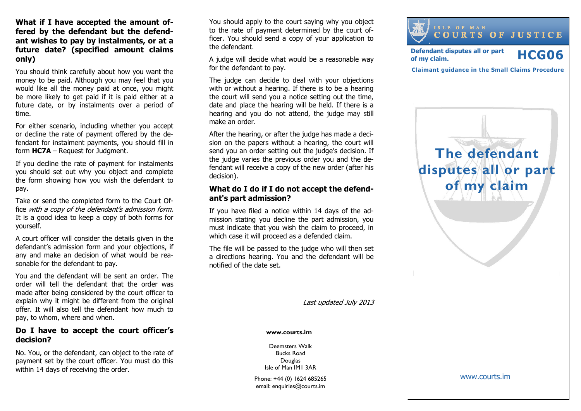What if I have accepted the amount offered by the defendant but the defendant wishes to pay by instalments, or at a future date? (specified amount claims only)

You should think carefully about how you want the money to be paid. Although you may feel that you would like all the money paid at once, you might be more likely to get paid if it is paid either at a future date, or by instalments over a period of time.

For either scenario, including whether you accept or decline the rate of payment offered by the defendant for instalment payments, you should fill inform HC7A – Request for Judgment.

If you decline the rate of payment for instalments you should set out why you object and complete the form showing how you wish the defendant to pay.

Take or send the completed form to the Court Office with a copy of the defendant's admission form. It is a good idea to keep a copy of both forms for yourself.

A court officer will consider the details given in the defendant's admission form and your objections, if any and make an decision of what would be reasonable for the defendant to pay.

You and the defendant will be sent an order. The order will tell the defendant that the order was made after being considered by the court officer to explain why it might be different from the original offer. It will also tell the defendant how much to pay, to whom, where and when.

### Do I have to accept the court officer's decision?

No. You, or the defendant, can object to the rate of payment set by the court officer. You must do this within 14 days of receiving the order.

You should apply to the court saying why you object to the rate of payment determined by the court officer. You should send a copy of your application to the defendant.

A judge will decide what would be a reasonable way for the defendant to pay.

The judge can decide to deal with your objections with or without a hearing. If there is to be a hearing the court will send you a notice setting out the time, date and place the hearing will be held. If there is a hearing and you do not attend, the judge may still make an order.

After the hearing, or after the judge has made a decision on the papers without a hearing, the court will send you an order setting out the judge's decision. If the judge varies the previous order you and the defendant will receive a copy of the new order (after his decision).

## What do I do if I do not accept the defendant's part admission?

If you have filed a notice within 14 days of the ad mission stating you decline the part admission, you must indicate that you wish the claim to proceed, in which case it will proceed as a defended claim.

The file will be passed to the judge who will then set a directions hearing. You and the defendant will benotified of the date set.

Last updated July 2013

#### www.courts.im

Deemsters Walk Bucks Road Douglas Isle of Man IM1 3AR

Phone: +44 (0) 1624 685265 email: enquiries@courts.im



#### www.courts.im